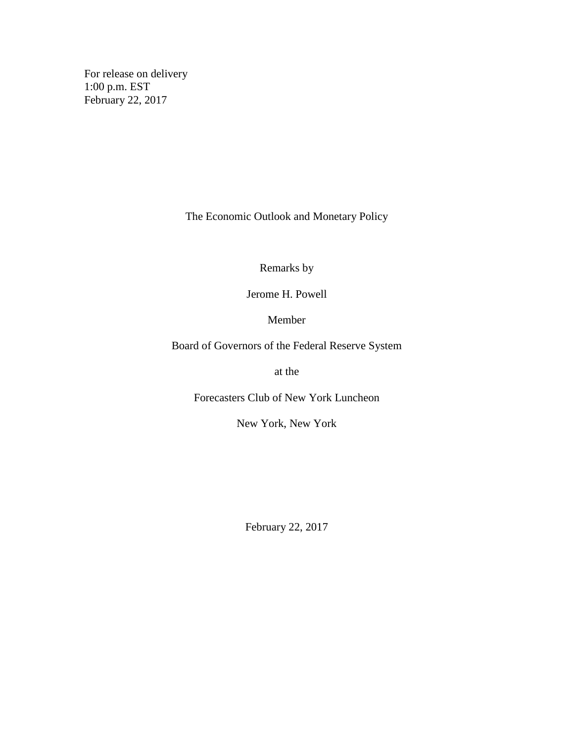For release on delivery 1:00 p.m. EST February 22, 2017

The Economic Outlook and Monetary Policy

Remarks by

Jerome H. Powell

Member

Board of Governors of the Federal Reserve System

at the

Forecasters Club of New York Luncheon

New York, New York

February 22, 2017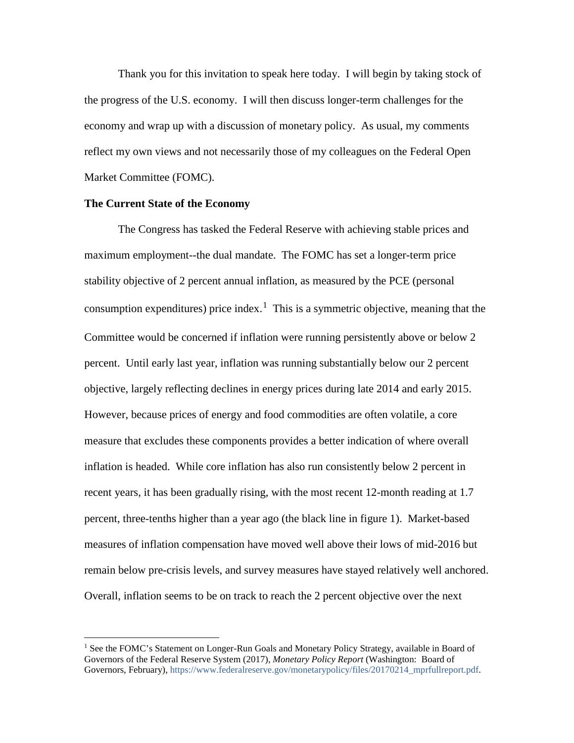Thank you for this invitation to speak here today. I will begin by taking stock of the progress of the U.S. economy. I will then discuss longer-term challenges for the economy and wrap up with a discussion of monetary policy. As usual, my comments reflect my own views and not necessarily those of my colleagues on the Federal Open Market Committee (FOMC).

### **The Current State of the Economy**

The Congress has tasked the Federal Reserve with achieving stable prices and maximum employment--the dual mandate. The FOMC has set a longer-term price stability objective of 2 percent annual inflation, as measured by the PCE (personal consumption expenditures) price index.<sup>[1](#page-1-0)</sup> This is a symmetric objective, meaning that the Committee would be concerned if inflation were running persistently above or below 2 percent. Until early last year, inflation was running substantially below our 2 percent objective, largely reflecting declines in energy prices during late 2014 and early 2015. However, because prices of energy and food commodities are often volatile, a core measure that excludes these components provides a better indication of where overall inflation is headed. While core inflation has also run consistently below 2 percent in recent years, it has been gradually rising, with the most recent 12-month reading at 1.7 percent, three-tenths higher than a year ago (the black line in figure 1). Market-based measures of inflation compensation have moved well above their lows of mid-2016 but remain below pre-crisis levels, and survey measures have stayed relatively well anchored. Overall, inflation seems to be on track to reach the 2 percent objective over the next

<span id="page-1-0"></span><sup>&</sup>lt;sup>1</sup> See the FOMC's Statement on Longer-Run Goals and Monetary Policy Strategy, available in Board of Governors of the Federal Reserve System (2017), *Monetary Policy Report* (Washington: Board of Governors, February), [https://www.federalreserve.gov/monetarypolicy/files/20170214\\_mprfullreport.pdf.](https://www.federalreserve.gov/monetarypolicy/files/20170214_mprfullreport.pdf)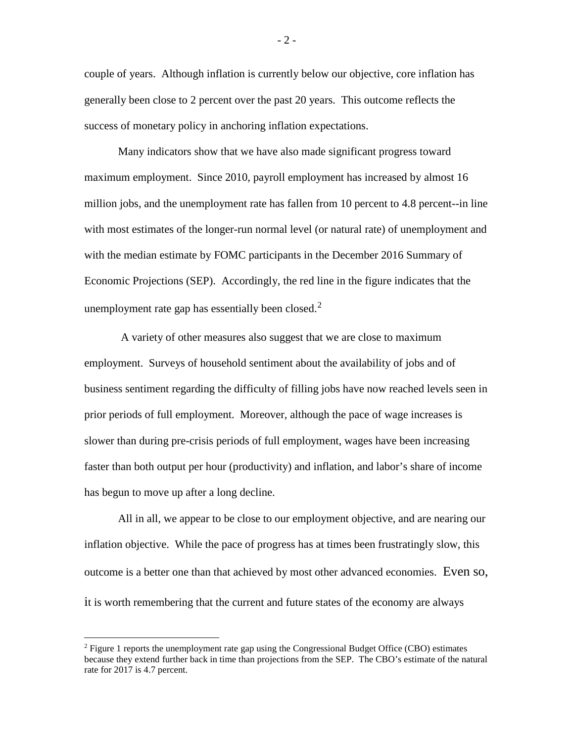couple of years. Although inflation is currently below our objective, core inflation has generally been close to 2 percent over the past 20 years. This outcome reflects the success of monetary policy in anchoring inflation expectations.

Many indicators show that we have also made significant progress toward maximum employment. Since 2010, payroll employment has increased by almost 16 million jobs, and the unemployment rate has fallen from 10 percent to 4.8 percent--in line with most estimates of the longer-run normal level (or natural rate) of unemployment and with the median estimate by FOMC participants in the December 2016 Summary of Economic Projections (SEP). Accordingly, the red line in the figure indicates that the unemployment rate gap has essentially been closed. $2^2$  $2^2$ 

A variety of other measures also suggest that we are close to maximum employment. Surveys of household sentiment about the availability of jobs and of business sentiment regarding the difficulty of filling jobs have now reached levels seen in prior periods of full employment. Moreover, although the pace of wage increases is slower than during pre-crisis periods of full employment, wages have been increasing faster than both output per hour (productivity) and inflation, and labor's share of income has begun to move up after a long decline.

All in all, we appear to be close to our employment objective, and are nearing our inflation objective. While the pace of progress has at times been frustratingly slow, this outcome is a better one than that achieved by most other advanced economies. Even so, it is worth remembering that the current and future states of the economy are always

<span id="page-2-0"></span> $2$  Figure 1 reports the unemployment rate gap using the Congressional Budget Office (CBO) estimates because they extend further back in time than projections from the SEP. The CBO's estimate of the natural rate for 2017 is 4.7 percent.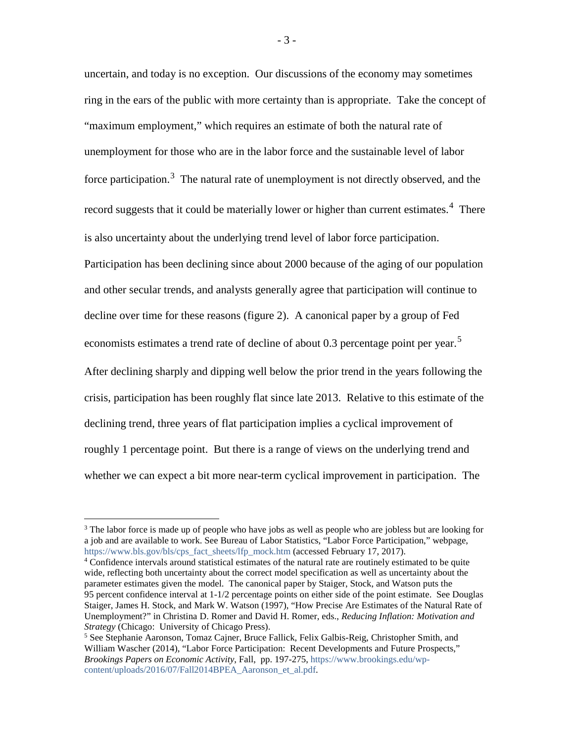uncertain, and today is no exception. Our discussions of the economy may sometimes ring in the ears of the public with more certainty than is appropriate. Take the concept of "maximum employment," which requires an estimate of both the natural rate of unemployment for those who are in the labor force and the sustainable level of labor force participation.<sup>[3](#page-3-0)</sup> The natural rate of unemployment is not directly observed, and the record suggests that it could be materially lower or higher than current estimates.<sup>[4](#page-3-1)</sup> There is also uncertainty about the underlying trend level of labor force participation. Participation has been declining since about 2000 because of the aging of our population and other secular trends, and analysts generally agree that participation will continue to decline over time for these reasons (figure 2). A canonical paper by a group of Fed economists estimates a trend rate of decline of about 0.3 percentage point per year.<sup>[5](#page-3-2)</sup> After declining sharply and dipping well below the prior trend in the years following the crisis, participation has been roughly flat since late 2013. Relative to this estimate of the declining trend, three years of flat participation implies a cyclical improvement of roughly 1 percentage point. But there is a range of views on the underlying trend and whether we can expect a bit more near-term cyclical improvement in participation. The

<span id="page-3-0"></span><sup>&</sup>lt;sup>3</sup> The labor force is made up of people who have jobs as well as people who are jobless but are looking for a job and are available to work. See Bureau of Labor Statistics, "Labor Force Participation," webpage, [https://www.bls.gov/bls/cps\\_fact\\_sheets/lfp\\_mock.htm](https://www.bls.gov/bls/cps_fact_sheets/lfp_mock.htm) (accessed February 17, 2017).

<span id="page-3-1"></span><sup>&</sup>lt;sup>4</sup> Confidence intervals around statistical estimates of the natural rate are routinely estimated to be quite wide, reflecting both uncertainty about the correct model specification as well as uncertainty about the parameter estimates given the model. The canonical paper by Staiger, Stock, and Watson puts the 95 percent confidence interval at 1-1/2 percentage points on either side of the point estimate. See Douglas Staiger, James H. Stock, and Mark W. Watson (1997), "How Precise Are Estimates of the Natural Rate of Unemployment?" in Christina D. Romer and David H. Romer, eds., *Reducing Inflation: Motivation and Strategy* (Chicago: University of Chicago Press).<br><sup>5</sup> See Stephanie Aaronson, Tomaz Cajner, Bruce Fallick, Felix Galbis-Reig, Christopher Smith, and

<span id="page-3-2"></span>William Wascher (2014), "Labor Force Participation: Recent Developments and Future Prospects," *Brookings Papers on Economic Activity*, Fall, pp. 197-275[, https://www.brookings.edu/wp](https://www.brookings.edu/wp-content/uploads/2016/07/Fall2014BPEA_Aaronson_et_al.pdf)[content/uploads/2016/07/Fall2014BPEA\\_Aaronson\\_et\\_al.pdf.](https://www.brookings.edu/wp-content/uploads/2016/07/Fall2014BPEA_Aaronson_et_al.pdf)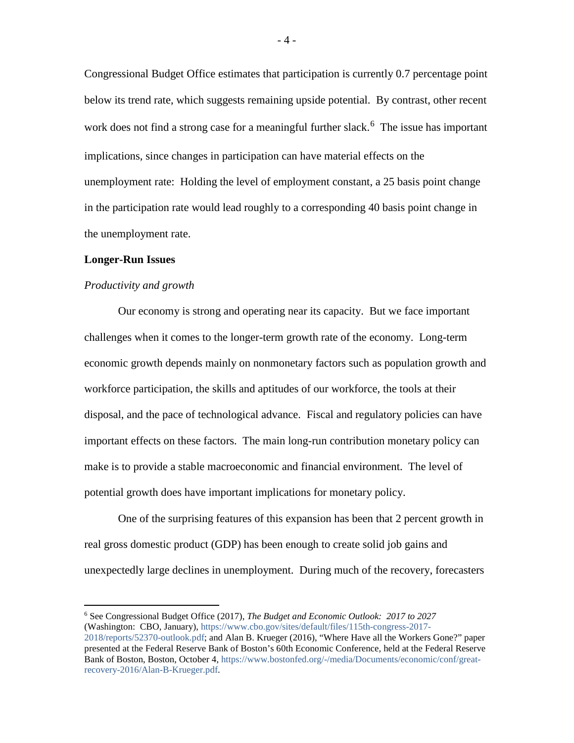Congressional Budget Office estimates that participation is currently 0.7 percentage point below its trend rate, which suggests remaining upside potential. By contrast, other recent work does not find a strong case for a meaningful further slack.<sup>[6](#page-4-0)</sup> The issue has important implications, since changes in participation can have material effects on the unemployment rate: Holding the level of employment constant, a 25 basis point change in the participation rate would lead roughly to a corresponding 40 basis point change in the unemployment rate.

#### **Longer-Run Issues**

#### *Productivity and growth*

Our economy is strong and operating near its capacity. But we face important challenges when it comes to the longer-term growth rate of the economy. Long-term economic growth depends mainly on nonmonetary factors such as population growth and workforce participation, the skills and aptitudes of our workforce, the tools at their disposal, and the pace of technological advance. Fiscal and regulatory policies can have important effects on these factors. The main long-run contribution monetary policy can make is to provide a stable macroeconomic and financial environment. The level of potential growth does have important implications for monetary policy.

One of the surprising features of this expansion has been that 2 percent growth in real gross domestic product (GDP) has been enough to create solid job gains and unexpectedly large declines in unemployment. During much of the recovery, forecasters

<span id="page-4-0"></span> <sup>6</sup> See Congressional Budget Office (2017), *The Budget and Economic Outlook: 2017 to 2027* (Washington: CBO, January), [https://www.cbo.gov/sites/default/files/115th-congress-2017-](https://www.cbo.gov/sites/default/files/115th-congress-2017-2018/reports/52370-outlook.pdf)

[<sup>2018/</sup>reports/52370-outlook.pdf;](https://www.cbo.gov/sites/default/files/115th-congress-2017-2018/reports/52370-outlook.pdf) and Alan B. Krueger (2016), "Where Have all the Workers Gone?" paper presented at the Federal Reserve Bank of Boston's 60th Economic Conference, held at the Federal Reserve Bank of Boston, Boston, October 4, [https://www.bostonfed.org/-/media/Documents/economic/conf/great](https://www.bostonfed.org/-/media/Documents/economic/conf/great-recovery-2016/Alan-B-Krueger.pdf)[recovery-2016/Alan-B-Krueger.pdf.](https://www.bostonfed.org/-/media/Documents/economic/conf/great-recovery-2016/Alan-B-Krueger.pdf)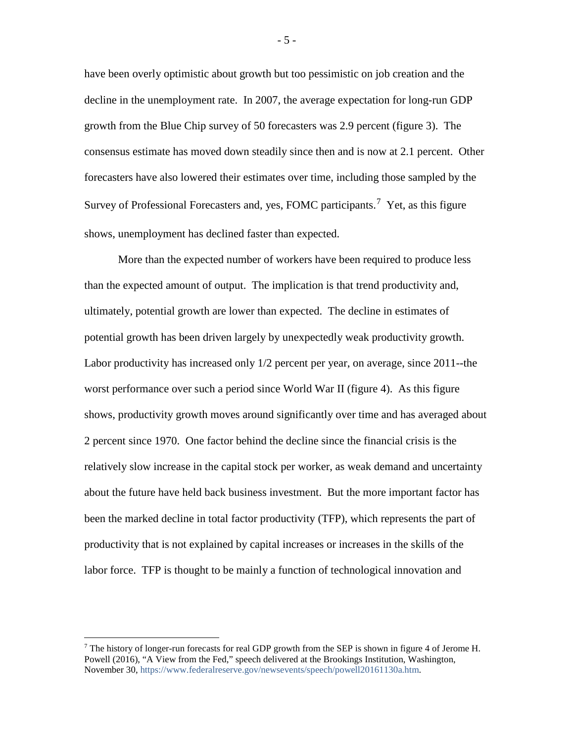have been overly optimistic about growth but too pessimistic on job creation and the decline in the unemployment rate. In 2007, the average expectation for long-run GDP growth from the Blue Chip survey of 50 forecasters was 2.9 percent (figure 3). The consensus estimate has moved down steadily since then and is now at 2.1 percent. Other forecasters have also lowered their estimates over time, including those sampled by the Survey of Professional Forecasters and, yes, FOMC participants.<sup>[7](#page-5-0)</sup> Yet, as this figure shows, unemployment has declined faster than expected.

More than the expected number of workers have been required to produce less than the expected amount of output. The implication is that trend productivity and, ultimately, potential growth are lower than expected. The decline in estimates of potential growth has been driven largely by unexpectedly weak productivity growth. Labor productivity has increased only 1/2 percent per year, on average, since 2011--the worst performance over such a period since World War II (figure 4). As this figure shows, productivity growth moves around significantly over time and has averaged about 2 percent since 1970. One factor behind the decline since the financial crisis is the relatively slow increase in the capital stock per worker, as weak demand and uncertainty about the future have held back business investment. But the more important factor has been the marked decline in total factor productivity (TFP), which represents the part of productivity that is not explained by capital increases or increases in the skills of the labor force. TFP is thought to be mainly a function of technological innovation and

- 5 -

<span id="page-5-0"></span><sup>&</sup>lt;sup>7</sup> The history of longer-run forecasts for real GDP growth from the SEP is shown in figure 4 of Jerome H. Powell (2016), "A View from the Fed," speech delivered at the Brookings Institution, Washington, November 30, [https://www.federalreserve.gov/newsevents/speech/powell20161130a.htm.](https://www.federalreserve.gov/newsevents/speech/powell20161130a.htm)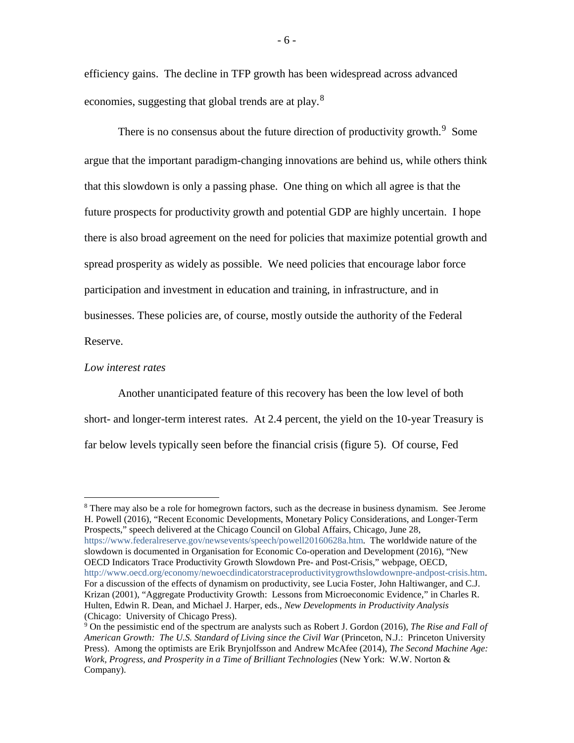efficiency gains. The decline in TFP growth has been widespread across advanced economies, suggesting that global trends are at play.<sup>[8](#page-6-0)</sup>

There is no consensus about the future direction of productivity growth.<sup>[9](#page-6-1)</sup> Some argue that the important paradigm-changing innovations are behind us, while others think that this slowdown is only a passing phase. One thing on which all agree is that the future prospects for productivity growth and potential GDP are highly uncertain. I hope there is also broad agreement on the need for policies that maximize potential growth and spread prosperity as widely as possible. We need policies that encourage labor force participation and investment in education and training, in infrastructure, and in businesses. These policies are, of course, mostly outside the authority of the Federal Reserve.

#### *Low interest rates*

Another unanticipated feature of this recovery has been the low level of both short- and longer-term interest rates. At 2.4 percent, the yield on the 10-year Treasury is far below levels typically seen before the financial crisis (figure 5). Of course, Fed

<span id="page-6-0"></span><sup>&</sup>lt;sup>8</sup> There may also be a role for homegrown factors, such as the decrease in business dynamism. See Jerome H. Powell (2016), "Recent Economic Developments, Monetary Policy Considerations, and Longer-Term Prospects," speech delivered at the Chicago Council on Global Affairs, Chicago, June 28, [https://www.federalreserve.gov/newsevents/speech/powell20160628a.htm.](https://www.federalreserve.gov/newsevents/speech/powell20160628a.htm) The worldwide nature of the slowdown is documented in Organisation for Economic Co-operation and Development (2016), "New OECD Indicators Trace Productivity Growth Slowdown Pre- and Post-Crisis," webpage, OECD, [http://www.oecd.org/economy/newoecdindicatorstraceproductivitygrowthslowdownpre-andpost-crisis.htm.](http://www.oecd.org/economy/newoecdindicatorstraceproductivitygrowthslowdownpre-andpost-crisis.htm)  For a discussion of the effects of dynamism on productivity, see Lucia Foster, John Haltiwanger, and C.J. Krizan (2001), "Aggregate Productivity Growth: Lessons from Microeconomic Evidence," in Charles R. Hulten, Edwin R. Dean, and Michael J. Harper, eds., *New Developments in Productivity Analysis* (Chicago: University of Chicago Press).

<span id="page-6-1"></span><sup>9</sup> On the pessimistic end of the spectrum are analysts such as Robert J. Gordon (2016), *The Rise and Fall of American Growth: The U.S. Standard of Living since the Civil War* (Princeton, N.J.: Princeton University Press). Among the optimists are Erik Brynjolfsson and Andrew McAfee (2014), *The Second Machine Age: Work, Progress, and Prosperity in a Time of Brilliant Technologies* (New York: W.W. Norton & Company).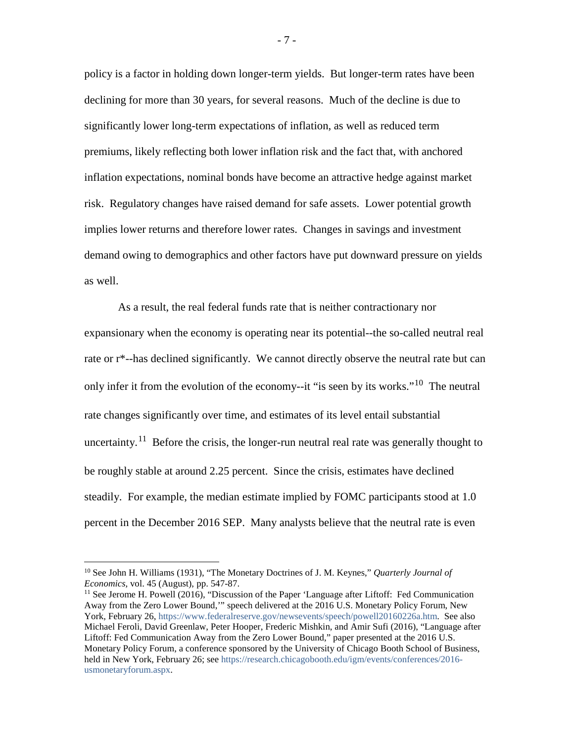policy is a factor in holding down longer-term yields. But longer-term rates have been declining for more than 30 years, for several reasons. Much of the decline is due to significantly lower long-term expectations of inflation, as well as reduced term premiums, likely reflecting both lower inflation risk and the fact that, with anchored inflation expectations, nominal bonds have become an attractive hedge against market risk. Regulatory changes have raised demand for safe assets. Lower potential growth implies lower returns and therefore lower rates. Changes in savings and investment demand owing to demographics and other factors have put downward pressure on yields as well.

As a result, the real federal funds rate that is neither contractionary nor expansionary when the economy is operating near its potential--the so-called neutral real rate or r\*--has declined significantly. We cannot directly observe the neutral rate but can only infer it from the evolution of the economy--it "is seen by its works."<sup>10</sup> The neutral rate changes significantly over time, and estimates of its level entail substantial uncertainty.<sup>11</sup> Before the crisis, the longer-run neutral real rate was generally thought to be roughly stable at around 2.25 percent. Since the crisis, estimates have declined steadily. For example, the median estimate implied by FOMC participants stood at 1.0 percent in the December 2016 SEP. Many analysts believe that the neutral rate is even

<span id="page-7-0"></span> <sup>10</sup> See John H. Williams (1931), "The Monetary Doctrines of J. M. Keynes," *Quarterly Journal of Economics,* vol. 45 (August), pp. 547-87.

<span id="page-7-1"></span> $<sup>11</sup>$  See Jerome H. Powell (2016), "Discussion of the Paper 'Language after Liftoff: Fed Communication</sup> Away from the Zero Lower Bound,'" speech delivered at the 2016 U.S. Monetary Policy Forum, New York, February 26, [https://www.federalreserve.gov/newsevents/speech/powell20160226a.htm.](https://www.federalreserve.gov/newsevents/speech/powell20160226a.htm) See also Michael Feroli, David Greenlaw, Peter Hooper, Frederic Mishkin, and Amir Sufi (2016), "Language after Liftoff: Fed Communication Away from the Zero Lower Bound," paper presented at the 2016 U.S. Monetary Policy Forum, a conference sponsored by the University of Chicago Booth School of Business, held in New York, February 26; see [https://research.chicagobooth.edu/igm/events/conferences/2016](https://research.chicagobooth.edu/igm/events/conferences/2016-usmonetaryforum.aspx) [usmonetaryforum.aspx.](https://research.chicagobooth.edu/igm/events/conferences/2016-usmonetaryforum.aspx)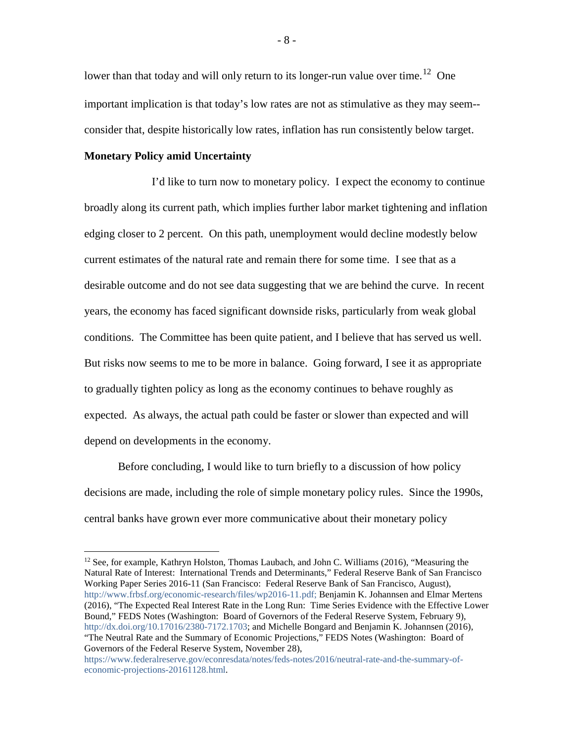lower than that today and will only return to its longer-run value over time.<sup>[12](#page-8-0)</sup> One important implication is that today's low rates are not as stimulative as they may seem- consider that, despite historically low rates, inflation has run consistently below target.

### **Monetary Policy amid Uncertainty**

I'd like to turn now to monetary policy. I expect the economy to continue broadly along its current path, which implies further labor market tightening and inflation edging closer to 2 percent. On this path, unemployment would decline modestly below current estimates of the natural rate and remain there for some time. I see that as a desirable outcome and do not see data suggesting that we are behind the curve. In recent years, the economy has faced significant downside risks, particularly from weak global conditions. The Committee has been quite patient, and I believe that has served us well. But risks now seems to me to be more in balance. Going forward, I see it as appropriate to gradually tighten policy as long as the economy continues to behave roughly as expected. As always, the actual path could be faster or slower than expected and will depend on developments in the economy.

Before concluding, I would like to turn briefly to a discussion of how policy decisions are made, including the role of simple monetary policy rules. Since the 1990s, central banks have grown ever more communicative about their monetary policy

<span id="page-8-0"></span> $12$  See, for example, Kathryn Holston, Thomas Laubach, and John C. Williams (2016), "Measuring the Natural Rate of Interest: International Trends and Determinants," Federal Reserve Bank of San Francisco Working Paper Series 2016-11 (San Francisco: Federal Reserve Bank of San Francisco, August), [http://www.frbsf.org/economic-research/files/wp2016-11.pdf;](http://www.frbsf.org/economic-research/files/wp2016-11.pdf) Benjamin K. Johannsen and Elmar Mertens (2016), "The Expected Real Interest Rate in the Long Run: Time Series Evidence with the Effective Lower Bound," FEDS Notes (Washington: Board of Governors of the Federal Reserve System, February 9), [http://dx.doi.org/10.17016/2380-7172.1703;](http://dx.doi.org/10.17016/2380-7172.1703) and Michelle Bongard and Benjamin K. Johannsen (2016), "The Neutral Rate and the Summary of Economic Projections," FEDS Notes (Washington: Board of Governors of the Federal Reserve System, November 28),

[https://www.federalreserve.gov/econresdata/notes/feds-notes/2016/neutral-rate-and-the-summary-of](https://www.federalreserve.gov/econresdata/notes/feds-notes/2016/neutral-rate-and-the-summary-of-economic-projections-20161128.html)[economic-projections-20161128.html.](https://www.federalreserve.gov/econresdata/notes/feds-notes/2016/neutral-rate-and-the-summary-of-economic-projections-20161128.html)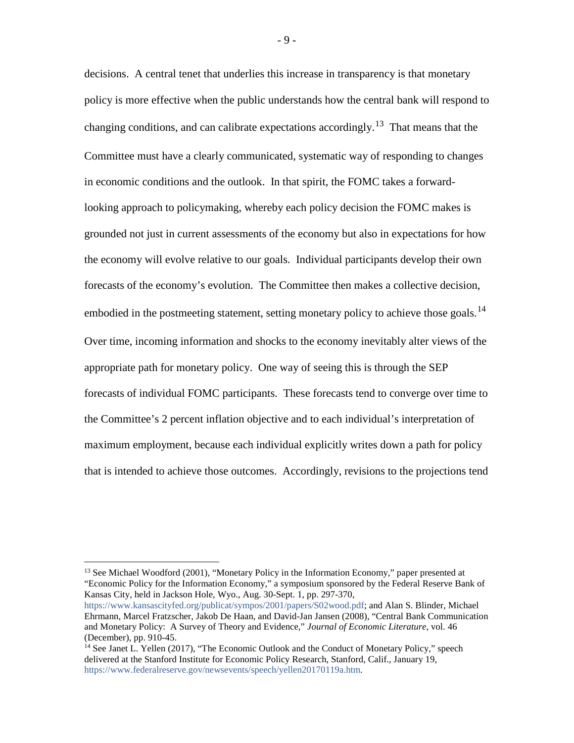decisions. A central tenet that underlies this increase in transparency is that monetary policy is more effective when the public understands how the central bank will respond to changing conditions, and can calibrate expectations accordingly.<sup>13</sup> That means that the Committee must have a clearly communicated, systematic way of responding to changes in economic conditions and the outlook. In that spirit, the FOMC takes a forwardlooking approach to policymaking, whereby each policy decision the FOMC makes is grounded not just in current assessments of the economy but also in expectations for how the economy will evolve relative to our goals. Individual participants develop their own forecasts of the economy's evolution. The Committee then makes a collective decision, embodied in the postmeeting statement, setting monetary policy to achieve those goals.<sup>14</sup> Over time, incoming information and shocks to the economy inevitably alter views of the appropriate path for monetary policy. One way of seeing this is through the SEP forecasts of individual FOMC participants. These forecasts tend to converge over time to the Committee's 2 percent inflation objective and to each individual's interpretation of maximum employment, because each individual explicitly writes down a path for policy that is intended to achieve those outcomes. Accordingly, revisions to the projections tend

<span id="page-9-0"></span><sup>&</sup>lt;sup>13</sup> See Michael Woodford (2001), "Monetary Policy in the Information Economy," paper presented at "Economic Policy for the Information Economy," a symposium sponsored by the Federal Reserve Bank of Kansas City, held in Jackson Hole, Wyo., Aug. 30-Sept. 1, pp. 297-370,

[https://www.kansascityfed.org/publicat/sympos/2001/papers/S02wood.pdf;](https://www.kansascityfed.org/publicat/sympos/2001/papers/S02wood.pdf) and Alan S. Blinder, Michael Ehrmann, Marcel Fratzscher, Jakob De Haan, and David-Jan Jansen (2008), "Central Bank Communication and Monetary Policy: A Survey of Theory and Evidence," *Journal of Economic Literature*, vol. 46 (December), pp. 910-45.

<span id="page-9-1"></span><sup>&</sup>lt;sup>14</sup> See Janet L. Yellen (2017), "The Economic Outlook and the Conduct of Monetary Policy," speech delivered at the Stanford Institute for Economic Policy Research, Stanford, Calif., January 19, [https://www.federalreserve.gov/newsevents/speech/yellen20170119a.htm.](https://www.federalreserve.gov/newsevents/speech/yellen20170119a.htm)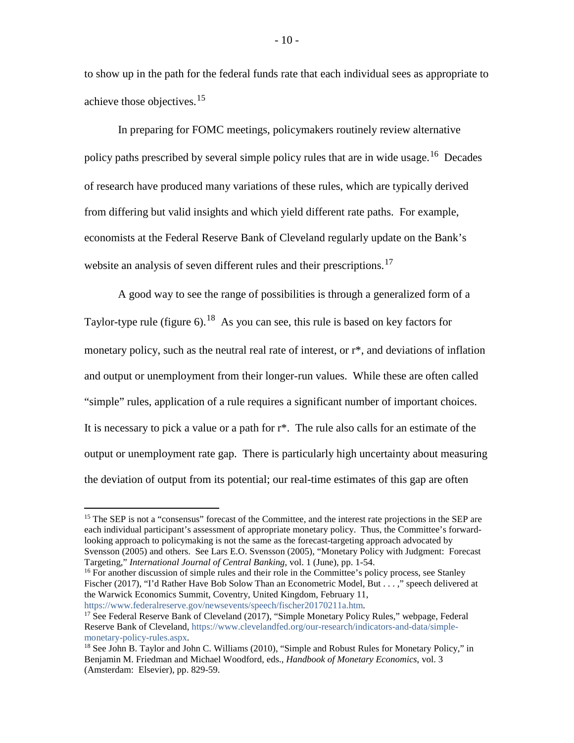to show up in the path for the federal funds rate that each individual sees as appropriate to achieve those objectives.<sup>[15](#page-10-0)</sup>

In preparing for FOMC meetings, policymakers routinely review alternative policy paths prescribed by several simple policy rules that are in wide usage.<sup>[16](#page-10-1)</sup> Decades of research have produced many variations of these rules, which are typically derived from differing but valid insights and which yield different rate paths. For example, economists at the Federal Reserve Bank of Cleveland regularly update on the Bank's website an analysis of seven different rules and their prescriptions.<sup>[17](#page-10-2)</sup>

A good way to see the range of possibilities is through a generalized form of a Taylor-type rule (figure  $6$ ).<sup>18</sup> As you can see, this rule is based on key factors for monetary policy, such as the neutral real rate of interest, or r\*, and deviations of inflation and output or unemployment from their longer-run values. While these are often called "simple" rules, application of a rule requires a significant number of important choices. It is necessary to pick a value or a path for r\*. The rule also calls for an estimate of the output or unemployment rate gap. There is particularly high uncertainty about measuring the deviation of output from its potential; our real-time estimates of this gap are often

<span id="page-10-0"></span><sup>&</sup>lt;sup>15</sup> The SEP is not a "consensus" forecast of the Committee, and the interest rate projections in the SEP are each individual participant's assessment of appropriate monetary policy. Thus, the Committee's forwardlooking approach to policymaking is not the same as the forecast-targeting approach advocated by Svensson (2005) and others. See Lars E.O. Svensson (2005), "Monetary Policy with Judgment: Forecast Targeting," *International Journal of Central Banking*, vol. 1 (June), pp. 1-54.

<span id="page-10-1"></span><sup>&</sup>lt;sup>16</sup> For another discussion of simple rules and their role in the Committee's policy process, see Stanley Fischer (2017), "I'd Rather Have Bob Solow Than an Econometric Model, But . . . ," speech delivered at the Warwick Economics Summit, Coventry, United Kingdom, February 11, [https://www.federalreserve.gov/newsevents/speech/fischer20170211a.htm.](https://www.federalreserve.gov/newsevents/speech/fischer20170211a.htm)

<span id="page-10-2"></span><sup>&</sup>lt;sup>17</sup> See Federal Reserve Bank of Cleveland (2017), "Simple Monetary Policy Rules," webpage, Federal Reserve Bank of Cleveland[, https://www.clevelandfed.org/our-research/indicators-and-data/simple](https://www.clevelandfed.org/our-research/indicators-and-data/simple-monetary-policy-rules.aspx)[monetary-policy-rules.aspx.](https://www.clevelandfed.org/our-research/indicators-and-data/simple-monetary-policy-rules.aspx)

<span id="page-10-3"></span><sup>&</sup>lt;sup>18</sup> See John B. Taylor and John C. Williams (2010), "Simple and Robust Rules for Monetary Policy," in Benjamin M. Friedman and Michael Woodford, eds., *Handbook of Monetary Economics*, vol. 3 (Amsterdam: Elsevier), pp. 829-59.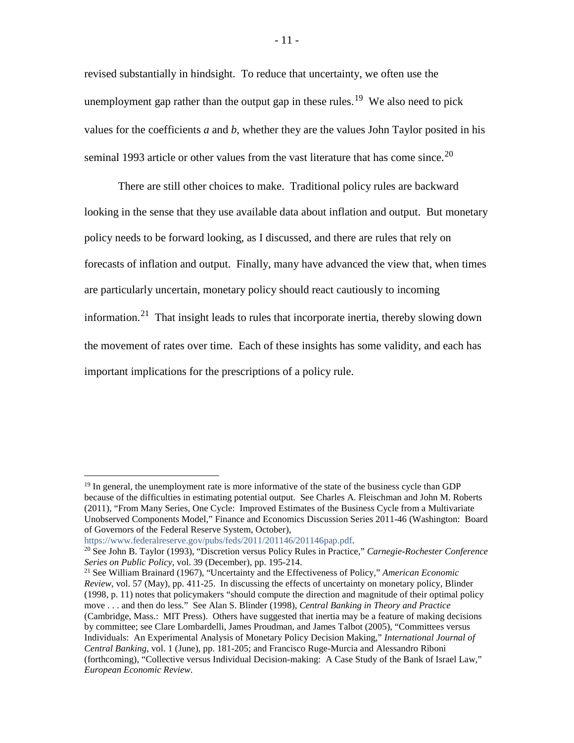revised substantially in hindsight. To reduce that uncertainty, we often use the unemployment gap rather than the output gap in these rules.<sup>[19](#page-11-0)</sup> We also need to pick values for the coefficients *a* and *b*, whether they are the values John Taylor posited in his seminal 1993 article or other values from the vast literature that has come since.<sup>[20](#page-11-1)</sup>

There are still other choices to make. Traditional policy rules are backward looking in the sense that they use available data about inflation and output. But monetary policy needs to be forward looking, as I discussed, and there are rules that rely on forecasts of inflation and output. Finally, many have advanced the view that, when times are particularly uncertain, monetary policy should react cautiously to incoming information.<sup>[21](#page-11-2)</sup> That insight leads to rules that incorporate inertia, thereby slowing down the movement of rates over time. Each of these insights has some validity, and each has important implications for the prescriptions of a policy rule.

<span id="page-11-0"></span><sup>&</sup>lt;sup>19</sup> In general, the unemployment rate is more informative of the state of the business cycle than GDP because of the difficulties in estimating potential output. See Charles A. Fleischman and John M. Roberts (2011), "From Many Series, One Cycle: Improved Estimates of the Business Cycle from a Multivariate Unobserved Components Model," Finance and Economics Discussion Series 2011-46 (Washington: Board of Governors of the Federal Reserve System, October),

[https://www.federalreserve.gov/pubs/feds/2011/201146/201146pap.pdf.](https://www.federalreserve.gov/pubs/feds/2011/201146/201146pap.pdf)

<span id="page-11-1"></span><sup>20</sup> See John B. Taylor (1993), "Discretion versus Policy Rules in Practice*,*" *Carnegie-Rochester Conference Series on Public Policy,* vol. 39 (December), pp. 195-214.

<span id="page-11-2"></span><sup>21</sup> See William Brainard (1967), "Uncertainty and the Effectiveness of Policy," *American Economic Review*, vol. 57 (May), pp. 411-25. In discussing the effects of uncertainty on monetary policy, Blinder (1998, p. 11) notes that policymakers "should compute the direction and magnitude of their optimal policy move . . . and then do less." See Alan S. Blinder (1998), *Central Banking in Theory and Practice* (Cambridge, Mass.: MIT Press). Others have suggested that inertia may be a feature of making decisions by committee; see Clare Lombardelli, James Proudman, and James Talbot (2005), "Committees versus Individuals: An Experimental Analysis of Monetary Policy Decision Making," *International Journal of Central Banking*, vol. 1 (June), pp. 181-205; and Francisco Ruge-Murcia and Alessandro Riboni (forthcoming), "Collective versus Individual Decision-making: A Case Study of the Bank of Israel Law," *European Economic Review*.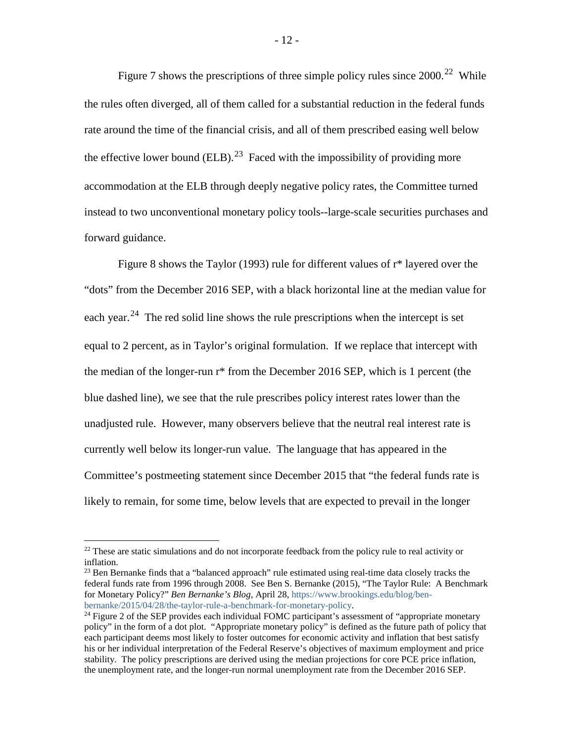Figure 7 shows the prescriptions of three simple policy rules since  $2000^{22}$  $2000^{22}$  $2000^{22}$  While the rules often diverged, all of them called for a substantial reduction in the federal funds rate around the time of the financial crisis, and all of them prescribed easing well below the effective lower bound  $(ELB)$ <sup>[23](#page-12-1)</sup> Faced with the impossibility of providing more accommodation at the ELB through deeply negative policy rates, the Committee turned instead to two unconventional monetary policy tools--large-scale securities purchases and forward guidance.

Figure 8 shows the Taylor (1993) rule for different values of r\* layered over the "dots" from the December 2016 SEP, with a black horizontal line at the median value for each year.<sup>[24](#page-12-2)</sup> The red solid line shows the rule prescriptions when the intercept is set equal to 2 percent, as in Taylor's original formulation. If we replace that intercept with the median of the longer-run r\* from the December 2016 SEP, which is 1 percent (the blue dashed line), we see that the rule prescribes policy interest rates lower than the unadjusted rule. However, many observers believe that the neutral real interest rate is currently well below its longer-run value. The language that has appeared in the Committee's postmeeting statement since December 2015 that "the federal funds rate is likely to remain, for some time, below levels that are expected to prevail in the longer

<span id="page-12-1"></span><sup>23</sup> Ben Bernanke finds that a "balanced approach" rule estimated using real-time data closely tracks the federal funds rate from 1996 through 2008. See Ben S. Bernanke (2015), "The Taylor Rule: A Benchmark for Monetary Policy?" *Ben Bernanke's Blog,* April 28, [https://www.brookings.edu/blog/ben](https://www.brookings.edu/blog/ben-bernanke/2015/04/28/the-taylor-rule-a-benchmark-for-monetary-policy/)[bernanke/2015/04/28/the-taylor-rule-a-benchmark-for-monetary-policy.](https://www.brookings.edu/blog/ben-bernanke/2015/04/28/the-taylor-rule-a-benchmark-for-monetary-policy/)

<span id="page-12-0"></span><sup>&</sup>lt;sup>22</sup> These are static simulations and do not incorporate feedback from the policy rule to real activity or inflation.

<span id="page-12-2"></span> $^{24}$  Figure 2 of the SEP provides each individual FOMC participant's assessment of "appropriate monetary" policy" in the form of a dot plot. "Appropriate monetary policy" is defined as the future path of policy that each participant deems most likely to foster outcomes for economic activity and inflation that best satisfy his or her individual interpretation of the Federal Reserve's objectives of maximum employment and price stability. The policy prescriptions are derived using the median projections for core PCE price inflation, the unemployment rate, and the longer-run normal unemployment rate from the December 2016 SEP.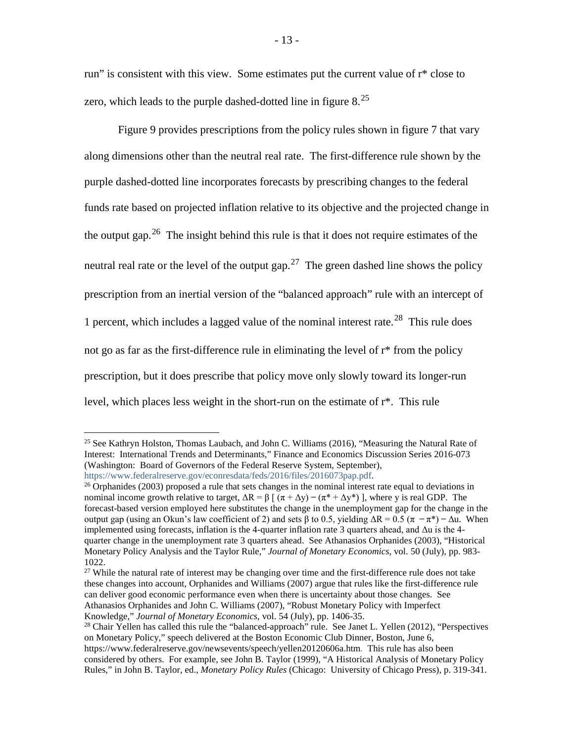run" is consistent with this view. Some estimates put the current value of r\* close to zero, which leads to the purple dashed-dotted line in figure  $8.<sup>25</sup>$  $8.<sup>25</sup>$  $8.<sup>25</sup>$ 

Figure 9 provides prescriptions from the policy rules shown in figure 7 that vary along dimensions other than the neutral real rate. The first-difference rule shown by the purple dashed-dotted line incorporates forecasts by prescribing changes to the federal funds rate based on projected inflation relative to its objective and the projected change in the output gap.<sup>[26](#page-13-1)</sup> The insight behind this rule is that it does not require estimates of the neutral real rate or the level of the output gap.<sup>27</sup> The green dashed line shows the policy prescription from an inertial version of the "balanced approach" rule with an intercept of 1 percent, which includes a lagged value of the nominal interest rate.[28](#page-13-3) This rule does not go as far as the first-difference rule in eliminating the level of r\* from the policy prescription, but it does prescribe that policy move only slowly toward its longer-run level, which places less weight in the short-run on the estimate of r\*. This rule

<span id="page-13-0"></span><sup>&</sup>lt;sup>25</sup> See Kathryn Holston, Thomas Laubach, and John C. Williams (2016), "Measuring the Natural Rate of Interest: International Trends and Determinants," Finance and Economics Discussion Series 2016-073 (Washington: Board of Governors of the Federal Reserve System, September), [https://www.federalreserve.gov/econresdata/feds/2016/files/2016073pap.pdf.](https://www.federalreserve.gov/econresdata/feds/2016/files/2016073pap.pdf)

<span id="page-13-1"></span> $^{26}$  Orphanides (2003) proposed a rule that sets changes in the nominal interest rate equal to deviations in nominal income growth relative to target,  $\Delta R = \beta \int (\pi + \Delta y) - (\pi^* + \Delta y^*)$ , where y is real GDP. The forecast-based version employed here substitutes the change in the unemployment gap for the change in the output gap (using an Okun's law coefficient of 2) and sets β to 0.5, yielding  $\Delta R = 0.5$  (π – π\*) –  $\Delta u$ . When implemented using forecasts, inflation is the 4-quarter inflation rate 3 quarters ahead, and  $\Delta u$  is the 4quarter change in the unemployment rate 3 quarters ahead. See Athanasios Orphanides (2003), "Historical Monetary Policy Analysis and the Taylor Rule," *Journal of Monetary Economics*, vol. 50 (July), pp. 983- 1022.

<span id="page-13-2"></span><sup>&</sup>lt;sup>27</sup> While the natural rate of interest may be changing over time and the first-difference rule does not take these changes into account, Orphanides and Williams (2007) argue that rules like the first-difference rule can deliver good economic performance even when there is uncertainty about those changes. See Athanasios Orphanides and John C. Williams (2007), "Robust Monetary Policy with Imperfect Knowledge," *Journal of Monetary Economics*, vol. 54 (July), pp. 1406-35.

<span id="page-13-3"></span><sup>&</sup>lt;sup>28</sup> Chair Yellen has called this rule the "balanced-approach" rule. See Janet L. Yellen (2012), "Perspectives on Monetary Policy," speech delivered at the Boston Economic Club Dinner, Boston, June 6, https://www.federalreserve.gov/newsevents/speech/yellen20120606a.htm. This rule has also been considered by others. For example, see John B. Taylor (1999), "A Historical Analysis of Monetary Policy Rules," in John B. Taylor, ed., *Monetary Policy Rules* (Chicago: University of Chicago Press), p. 319-341.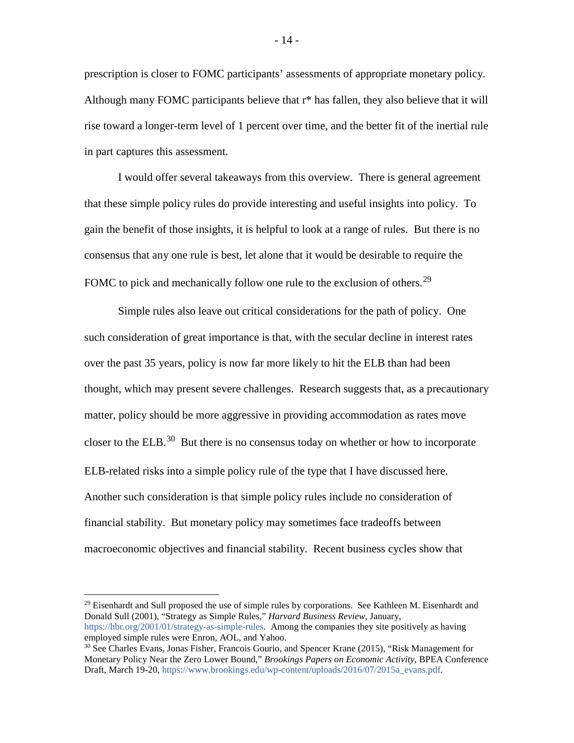prescription is closer to FOMC participants' assessments of appropriate monetary policy. Although many FOMC participants believe that r\* has fallen, they also believe that it will rise toward a longer-term level of 1 percent over time, and the better fit of the inertial rule in part captures this assessment.

I would offer several takeaways from this overview. There is general agreement that these simple policy rules do provide interesting and useful insights into policy. To gain the benefit of those insights, it is helpful to look at a range of rules. But there is no consensus that any one rule is best, let alone that it would be desirable to require the FOMC to pick and mechanically follow one rule to the exclusion of others.<sup>[29](#page-14-0)</sup>

Simple rules also leave out critical considerations for the path of policy. One such consideration of great importance is that, with the secular decline in interest rates over the past 35 years, policy is now far more likely to hit the ELB than had been thought, which may present severe challenges. Research suggests that, as a precautionary matter, policy should be more aggressive in providing accommodation as rates move closer to the ELB.<sup>30</sup> But there is no consensus today on whether or how to incorporate ELB-related risks into a simple policy rule of the type that I have discussed here. Another such consideration is that simple policy rules include no consideration of financial stability. But monetary policy may sometimes face tradeoffs between macroeconomic objectives and financial stability. Recent business cycles show that

<span id="page-14-0"></span> $29$  Eisenhardt and Sull proposed the use of simple rules by corporations. See Kathleen M. Eisenhardt and Donald Sull (2001), "Strategy as Simple Rules," *Harvard Business Review*, January, [https://hbr.org/2001/01/strategy-as-simple-rules.](https://hbr.org/2001/01/strategy-as-simple-rules) Among the companies they site positively as having employed simple rules were Enron, AOL, and Yahoo.

<span id="page-14-1"></span><sup>&</sup>lt;sup>30</sup> See Charles Evans, Jonas Fisher, Francois Gourio, and Spencer Krane (2015), "Risk Management for Monetary Policy Near the Zero Lower Bound," *Brookings Papers on Economic Activity*, BPEA Conference Draft, March 19-20, [https://www.brookings.edu/wp-content/uploads/2016/07/2015a\\_evans.pdf.](https://www.brookings.edu/wp-content/uploads/2016/07/2015a_evans.pdf)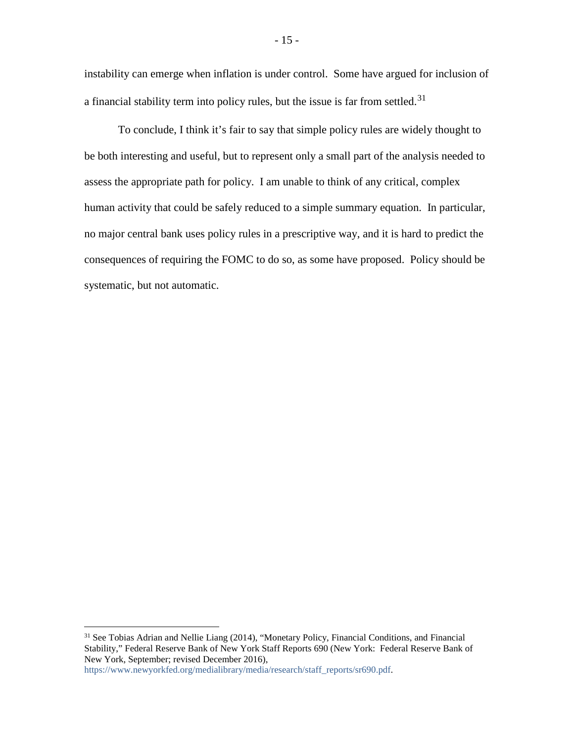instability can emerge when inflation is under control. Some have argued for inclusion of a financial stability term into policy rules, but the issue is far from settled.<sup>[31](#page-15-0)</sup>

To conclude, I think it's fair to say that simple policy rules are widely thought to be both interesting and useful, but to represent only a small part of the analysis needed to assess the appropriate path for policy. I am unable to think of any critical, complex human activity that could be safely reduced to a simple summary equation. In particular, no major central bank uses policy rules in a prescriptive way, and it is hard to predict the consequences of requiring the FOMC to do so, as some have proposed. Policy should be systematic, but not automatic.

[https://www.newyorkfed.org/medialibrary/media/research/staff\\_reports/sr690.pdf.](https://www.newyorkfed.org/medialibrary/media/research/staff_reports/sr690.pdf)

<span id="page-15-0"></span><sup>&</sup>lt;sup>31</sup> See Tobias Adrian and Nellie Liang (2014), "Monetary Policy, Financial Conditions, and Financial Stability," Federal Reserve Bank of New York Staff Reports 690 (New York: Federal Reserve Bank of New York, September; revised December 2016),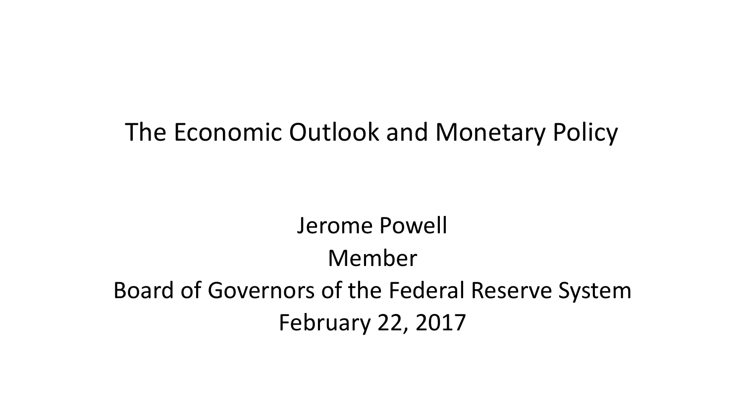### The Economic Outlook and Monetary Policy

## Jerome Powell Member Board of Governors of the Federal Reserve System February 22, 2017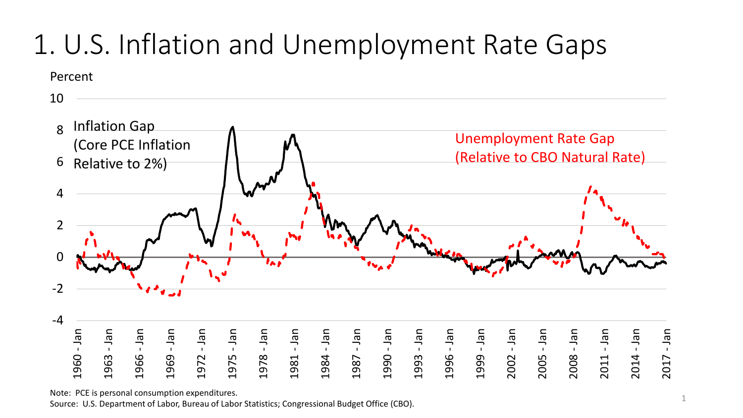# 1. U.S. Inflation and Unemployment Rate Gaps

Percent



Note: PCE is personal consumption expenditures.

.963

Source: U.S. Department of Labor, Bureau of Labor Statistics; Congressional Budget Office (CBO).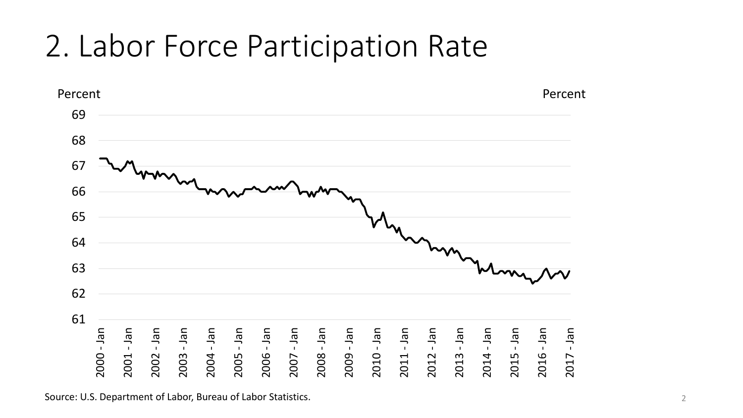# 2. Labor Force Participation Rate



Source: U.S. Department of Labor, Bureau of Labor Statistics.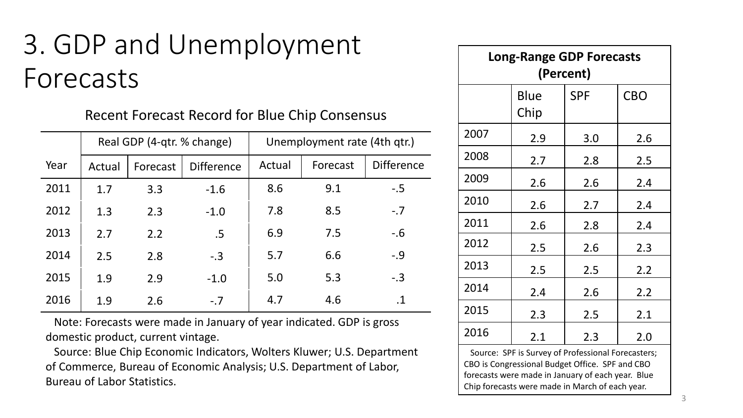## 3. GDP and Unemployment Forecasts

Recent Forecast Record for Blue Chip Consensus

|      | Real GDP (4-qtr. % change) |          |                   | Unemployment rate (4th qtr.) |          |                   |
|------|----------------------------|----------|-------------------|------------------------------|----------|-------------------|
| Year | Actual                     | Forecast | <b>Difference</b> | Actual                       | Forecast | <b>Difference</b> |
| 2011 | 1.7                        | 3.3      | $-1.6$            | 8.6                          | 9.1      | $-.5$             |
| 2012 | 1.3                        | 2.3      | $-1.0$            | 7.8                          | 8.5      | $-.7$             |
| 2013 | 2.7                        | 2.2      | .5                | 6.9                          | 7.5      | $-0.6$            |
| 2014 | 2.5                        | 2.8      | $-.3$             | 5.7                          | 6.6      | $-.9$             |
| 2015 | 1.9                        | 2.9      | $-1.0$            | 5.0                          | 5.3      | $-.3$             |
| 2016 | 1.9                        | 2.6      | $-.7$             | 4.7                          | 4.6      | .1                |

Note: Forecasts were made in January of year indicated. GDP is gross domestic product, current vintage.

Source: Blue Chip Economic Indicators, Wolters Kluwer; U.S. Department of Commerce, Bureau of Economic Analysis; U.S. Department of Labor, Bureau of Labor Statistics.

| <b>Long-Range GDP Forecasts</b><br>(Percent) |              |            |            |  |  |  |  |
|----------------------------------------------|--------------|------------|------------|--|--|--|--|
|                                              | Blue<br>Chip | <b>SPF</b> | <b>CBO</b> |  |  |  |  |
| 2007                                         | 2.9          | 3.0        | 2.6        |  |  |  |  |
| 2008                                         | 2.7          | 2.8        | 2.5        |  |  |  |  |
| 2009                                         | 2.6          | 2.6        | 2.4        |  |  |  |  |
| 2010                                         | 2.6          | 2.7        | 2.4        |  |  |  |  |
| 2011                                         | 2.6          | 2.8        | 2.4        |  |  |  |  |
| 2012                                         | $2.5\,$      | 2.6        | 2.3        |  |  |  |  |
| 2013                                         | 2.5          | 2.5        | 2.2        |  |  |  |  |
| 2014                                         | 2.4          | 2.6        | 2.2        |  |  |  |  |
| 2015                                         | 2.3          | 2.5        | 2.1        |  |  |  |  |
| 2016                                         | 2.1          | 2.3        | 2.0        |  |  |  |  |

Source: SPF is Survey of Professional Forecasters; CBO is Congressional Budget Office. SPF and CBO forecasts were made in January of each year. Blue Chip forecasts were made in March of each year.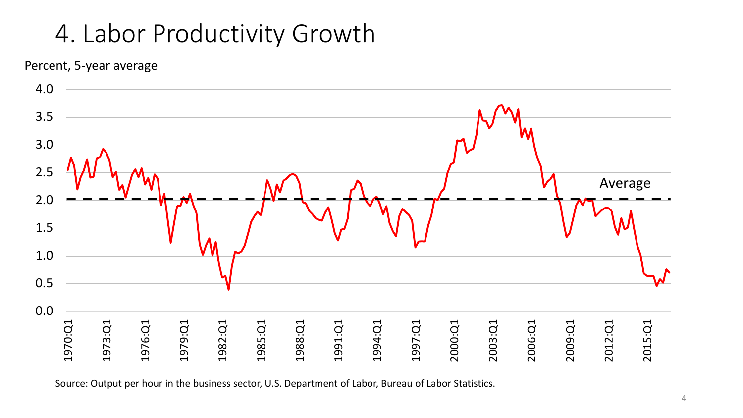### 4. Labor Productivity Growth

Percent, 5-year average



Source: Output per hour in the business sector, U.S. Department of Labor, Bureau of Labor Statistics.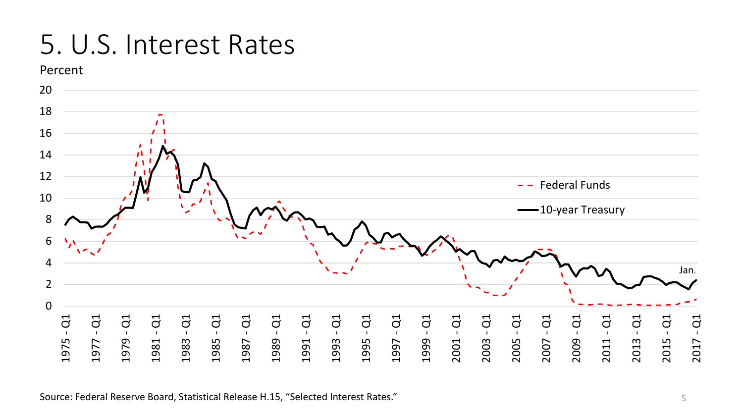## 5. U.S. Interest Rates



Source: Federal Reserve Board, Statistical Release H.15, "Selected Interest Rates."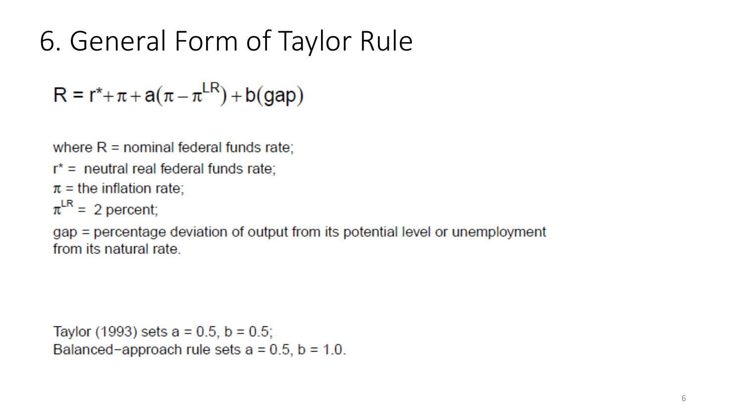# 6. General Form of Taylor Rule

 $R = r^* + \pi + a(\pi - \pi^{LR}) + b(gap)$ 

where  $R =$  nominal federal funds rate;

 $r^*$  = neutral real federal funds rate;

 $\pi$  = the inflation rate;

 $\pi^{\text{LR}}$  = 2 percent;

gap = percentage deviation of output from its potential level or unemployment from its natural rate

Taylor (1993) sets  $a = 0.5$ ,  $b = 0.5$ ; Balanced-approach rule sets  $a = 0.5$ ,  $b = 1.0$ .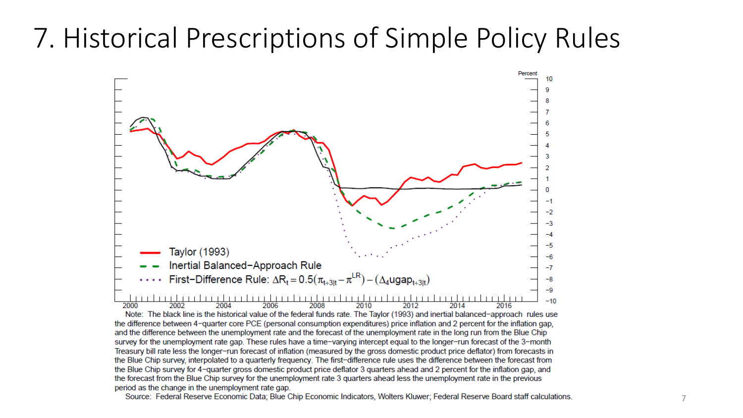## 7. Historical Prescriptions of Simple Policy Rules



Note: The black line is the historical value of the federal funds rate. The Taylor (1993) and inertial balanced-approach rules use the difference between 4-quarter core PCE (personal consumption expenditures) price inflation and 2 percent for the inflation gap, and the difference between the unemployment rate and the forecast of the unemployment rate in the long run from the Blue Chip survey for the unemployment rate gap. These rules have a time-varying intercept equal to the longer-run forecast of the 3-month Treasury bill rate less the longer-run forecast of inflation (measured by the gross domestic product price deflator) from forecasts in the Blue Chip survey, interpolated to a quarterly frequency. The first-difference rule uses the difference between the forecast from the Blue Chip survey for 4-quarter gross domestic product price deflator 3 quarters ahead and 2 percent for the inflation gap, and the forecast from the Blue Chip survey for the unemployment rate 3 quarters ahead less the unemployment rate in the previous period as the change in the unemployment rate gap.

Source: Federal Reserve Economic Data; Blue Chip Economic Indicators, Wolters Kluwer; Federal Reserve Board staff calculations.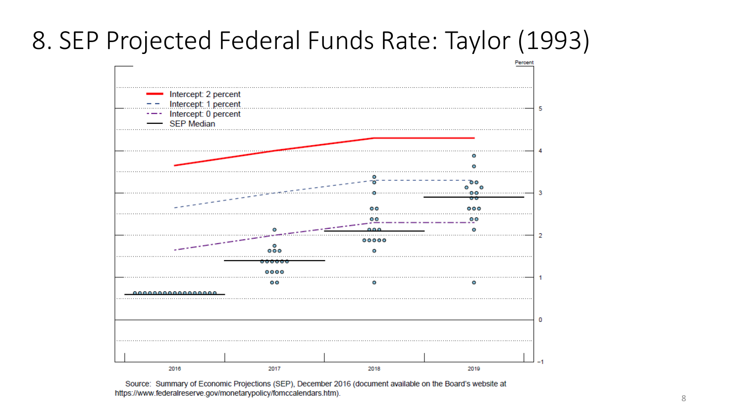### 8. SEP Projected Federal Funds Rate: Taylor (1993)



Source: Summary of Economic Projections (SEP), December 2016 (document available on the Board's website at https://www.federalreserve.gov/monetarypolicy/fomccalendars.htm).